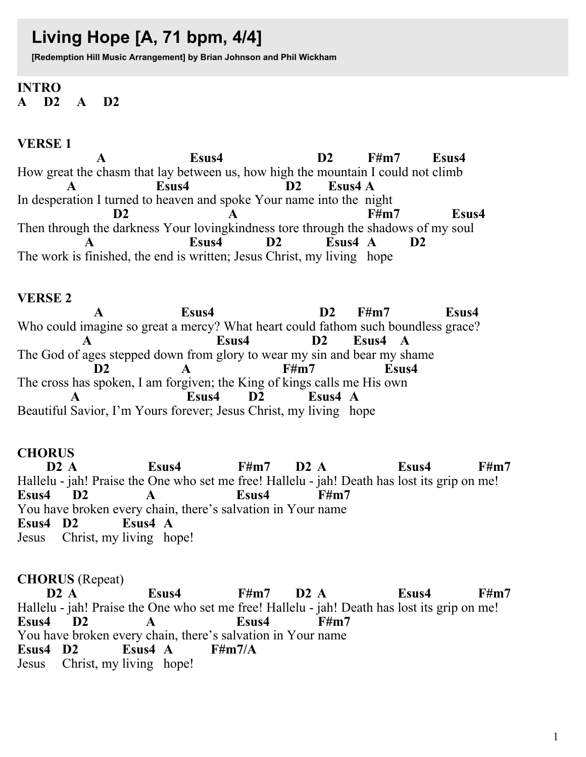# Living Hope [A, 71 bpm, 4/4]

[Redemption Hill Music Arrangement] by Brian Johnson and Phil Wickham

#### **INTRO**  $A$  D<sub>2</sub>  $\mathbf{A}$ D2

### **VERSE1**

Esus4  $D2$  $\mathbf{A}$  $F#m7$ Esus4 How great the chasm that lay between us, how high the mountain I could not climb Esus4  $\mathbf{D2}$ Esus4 A  $\mathbf{A}$ In desperation I turned to heaven and spoke Your name into the night Esus4  $F#m7$ D<sub>2</sub> Then through the darkness Your loving kindness tore through the shadows of my soul Esus4  $D2$  $E$ sus $4 \text{ A}$  $D<sub>2</sub>$  $\mathbf{A}$ The work is finished, the end is written; Jesus Christ, my living hope

#### **VERSE 2**

Esus4  $D2$  $F#m7$ Esus4  $\mathbf{A}$ Who could imagine so great a mercy? What heart could fathom such boundless grace? Esus4  $\mathbf{D2}$ Esus4 A The God of ages stepped down from glory to wear my sin and bear my shame  $F#m7$ Esus4  $\mathbf{D2}$  $\mathbf{A}$ The cross has spoken, I am forgiven; the King of kings calls me His own Esus4  $D2$ Esus4 A Beautiful Savior, I'm Yours forever; Jesus Christ, my living hope

#### **CHORUS**

 $D2A$ Esus4  $F#m7$  $D2A$ Esus4  $F\#m7$ Hallelu - jah! Praise the One who set me free! Hallelu - jah! Death has lost its grip on me! Esus4 D<sub>2</sub> Esus4 **F#m7**  $\mathbf{A}$ You have broken every chain, there's salvation in Your name Esus $4\,A$ Esus4 D2 Jesus Christ, my living hope!

#### **CHORUS** (Repeat)

 $D2 A$ Esus4  $F#m7$  $D2A$ Esus4  $F#m7$ Hallelu - jah! Praise the One who set me free! Hallelu - jah! Death has lost its grip on me! Esus4 Esus4  $F#m7$ D<sub>2</sub>  $\mathbf{A}$ You have broken every chain, there's salvation in Your name Esus4 D<sub>2</sub>  $F\#m7/A$ Esus $4 \, \text{A}$ Jesus Christ, my living hope!